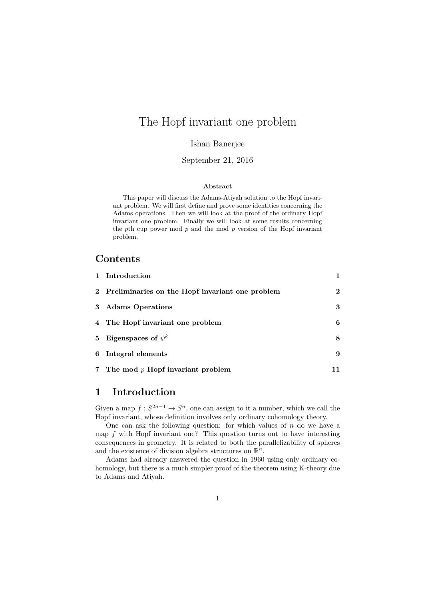# The Hopf invariant one problem

### Ishan Banerjee

### September 21, 2016

#### Abstract

This paper will discuss the Adams-Atiyah solution to the Hopf invariant problem. We will first define and prove some identities concerning the Adams operations. Then we will look at the proof of the ordinary Hopf invariant one problem. Finally we will look at some results concerning the pth cup power mod  $p$  and the mod  $p$  version of the Hopf invariant problem.

### Contents

| 1 Introduction                                    |              |
|---------------------------------------------------|--------------|
| 2 Preliminaries on the Hopf invariant one problem | $\mathbf{2}$ |
| 3 Adams Operations                                | 3            |
| 4 The Hopf invariant one problem                  | 6            |
| 5 Eigenspaces of $\psi^k$                         | 8            |
| 6 Integral elements                               | 9            |
| 7 The mod $p$ Hopf invariant problem              |              |

## 1 Introduction

Given a map  $f: S^{2n-1} \to S^n$ , one can assign to it a number, which we call the Hopf invariant, whose definition involves only ordinary cohomology theory.

One can ask the following question: for which values of  $n$  do we have a map  $f$  with Hopf invariant one? This question turns out to have interesting consequences in geometry. It is related to both the parallelizability of spheres and the existence of division algebra structures on  $\mathbb{R}^n$ .

Adams had already answered the question in 1960 using only ordinary cohomology, but there is a much simpler proof of the theorem using K-theory due to Adams and Atiyah.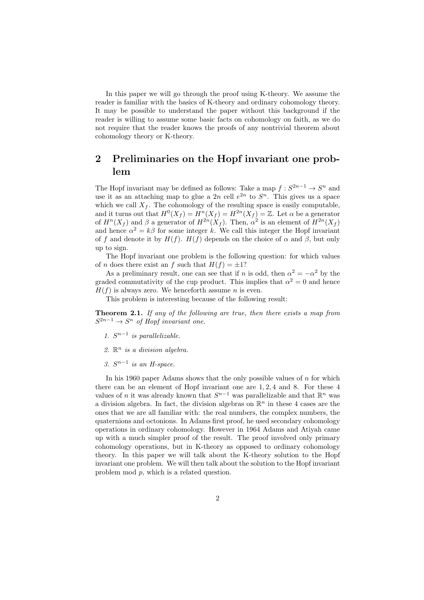In this paper we will go through the proof using K-theory. We assume the reader is familiar with the basics of K-theory and ordinary cohomology theory. It may be possible to understand the paper without this background if the reader is willing to assume some basic facts on cohomology on faith, as we do not require that the reader knows the proofs of any nontrivial theorem about cohomology theory or K-theory.

# 2 Preliminaries on the Hopf invariant one problem

The Hopf invariant may be defined as follows: Take a map  $f: S^{2n-1} \to S^n$  and use it as an attaching map to glue a 2n cell  $e^{2n}$  to  $S^n$ . This gives us a space which we call  $X_f$ . The cohomology of the resulting space is easily computable. and it turns out that  $H^0(X_f) = H^m(X_f) = H^{2n}(X_f) = \mathbb{Z}$ . Let  $\alpha$  be a generator of  $H^{n}(X_f)$  and  $\beta$  a generator of  $H^{2n}(X_f)$ . Then,  $\alpha^2$  is an element of  $H^{2n}(X_f)$ and hence  $\alpha^2 = k\beta$  for some integer k. We call this integer the Hopf invariant of f and denote it by  $H(f)$ .  $H(f)$  depends on the choice of  $\alpha$  and  $\beta$ , but only up to sign.

The Hopf invariant one problem is the following question: for which values of *n* does there exist an f such that  $H(f) = \pm 1$ ?

As a preliminary result, one can see that if n is odd, then  $\alpha^2 = -\alpha^2$  by the graded commutativity of the cup product. This implies that  $\alpha^2 = 0$  and hence  $H(f)$  is always zero. We henceforth assume *n* is even.

This problem is interesting because of the following result:

Theorem 2.1. If any of the following are true, then there exists a map from  $S^{2n-1} \to S^n$  of Hopf invariant one.

- 1.  $S^{n-1}$  is parallelizable.
- 2.  $\mathbb{R}^n$  is a division algebra.
- 3.  $S^{n-1}$  is an H-space.

In his 1960 paper Adams shows that the only possible values of  $n$  for which there can be an element of Hopf invariant one are 1, 2, 4 and 8. For these 4 values of *n* it was already known that  $S^{n-1}$  was parallelizable and that  $\mathbb{R}^n$  was a division algebra. In fact, the division algebras on  $\mathbb{R}^n$  in these 4 cases are the ones that we are all familiar with: the real numbers, the complex numbers, the quaternions and octonions. In Adams first proof, he used secondary cohomology operations in ordinary cohomology. However in 1964 Adams and Atiyah came up with a much simpler proof of the result. The proof involved only primary cohomology operations, but in K-theory as opposed to ordinary cohomology theory. In this paper we will talk about the K-theory solution to the Hopf invariant one problem. We will then talk about the solution to the Hopf invariant problem mod p, which is a related question.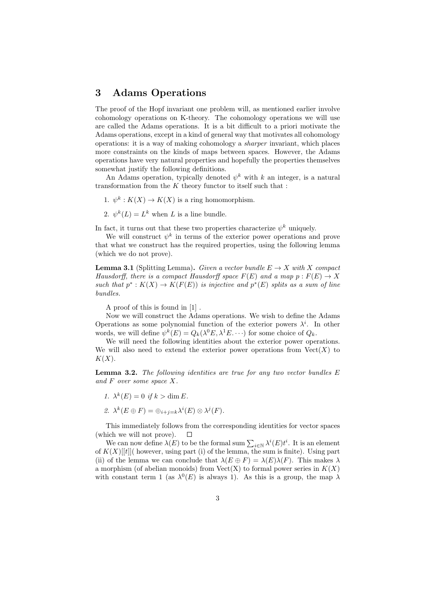## 3 Adams Operations

The proof of the Hopf invariant one problem will, as mentioned earlier involve cohomology operations on K-theory. The cohomology operations we will use are called the Adams operations. It is a bit difficult to a priori motivate the Adams operations, except in a kind of general way that motivates all cohomology operations: it is a way of making cohomology a sharper invariant, which places more constraints on the kinds of maps between spaces. However, the Adams operations have very natural properties and hopefully the properties themselves somewhat justify the following definitions.

An Adams operation, typically denoted  $\psi^k$  with k an integer, is a natural transformation from the  $K$  theory functor to itself such that :

- 1.  $\psi^k: K(X) \to K(X)$  is a ring homomorphism.
- 2.  $\psi^k(L) = L^k$  when L is a line bundle.

In fact, it turns out that these two properties characterize  $\psi^k$  uniquely.

We will construct  $\psi^k$  in terms of the exterior power operations and prove that what we construct has the required properties, using the following lemma (which we do not prove).

**Lemma 3.1** (Splitting Lemma). Given a vector bundle  $E \to X$  with X compact Hausdorff, there is a compact Hausdorff space  $F(E)$  and a map  $p : F(E) \to X$ such that  $p^*: K(X) \to K(F(E))$  is injective and  $p^*(E)$  splits as a sum of line bundles.

A proof of this is found in [1] .

Now we will construct the Adams operations. We wish to define the Adams Operations as some polynomial function of the exterior powers  $\lambda^{i}$ . In other words, we will define  $\psi^k(E) = Q_k(\lambda^0 E, \lambda^1 E \dots)$  for some choice of  $Q_k$ .

We will need the following identities about the exterior power operations. We will also need to extend the exterior power operations from  $Vect(X)$  to  $K(X)$ .

**Lemma 3.2.** The following identities are true for any two vector bundles  $E$ and F over some space X.

1.  $\lambda^{k}(E) = 0$  if  $k > \dim E$ .

2. 
$$
\lambda^k(E \oplus F) = \oplus_{i+j=k} \lambda^i(E) \otimes \lambda^j(F).
$$

This immediately follows from the corresponding identities for vector spaces (which we will not prove).  $\Box$ 

We can now define  $\lambda(E)$  to be the formal sum  $\sum_{i\in\mathbb{N}} \lambda^{i}(E)t^{i}$ . It is an element of  $K(X)[[t]]$  however, using part (i) of the lemma, the sum is finite). Using part (ii) of the lemma we can conclude that  $\lambda(E \oplus F) = \lambda(E)\lambda(F)$ . This makes  $\lambda$ a morphism (of abelian monoids) from  $Vect(X)$  to formal power series in  $K(X)$ with constant term 1 (as  $\lambda^{0}(E)$  is always 1). As this is a group, the map  $\lambda$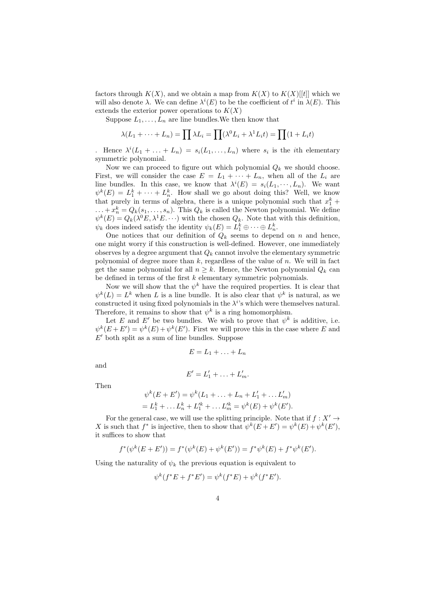factors through  $K(X)$ , and we obtain a map from  $K(X)$  to  $K(X)[[t]]$  which we will also denote  $\lambda$ . We can define  $\lambda^{i}(E)$  to be the coefficient of  $t^{i}$  in  $\lambda(E)$ . This extends the exterior power operations to  $K(X)$ 

Suppose  $L_1, \ldots, L_n$  are line bundles. We then know that

$$
\lambda(L_1 + \dots + L_n) = \prod \lambda L_i = \prod (\lambda^0 L_i + \lambda^1 L_i t) = \prod (1 + L_i t)
$$

Hence  $\lambda^{i}(L_1 + ... + L_n) = s_i(L_1, ..., L_n)$  where  $s_i$  is the *i*th elementary symmetric polynomial.

Now we can proceed to figure out which polynomial  $Q_k$  we should choose. First, we will consider the case  $E = L_1 + \cdots + L_n$ , when all of the  $L_i$  are line bundles. In this case, we know that  $\lambda^{i}(E) = s_{i}(L_{1}, \dots, L_{n})$ . We want  $\psi^k(E) = L_1^k + \cdots + L_n^k$ . How shall we go about doing this? Well, we know that purely in terms of algebra, there is a unique polynomial such that  $x_1^k$  +  $\dots + x_n^k = Q_k(s_1, \dots, s_n)$ . This  $Q_k$  is called the Newton polynomial. We define  $\psi^k(E) = Q_k(\lambda^0 E, \lambda^1 E, \cdots)$  with the chosen  $Q_k$ . Note that with this definition,  $\psi_k$  does indeed satisfy the identity  $\psi_k(E) = L_1^k \oplus \cdots \oplus L_n^k$ .

One notices that our definition of  $Q_k$  seems to depend on n and hence, one might worry if this construction is well-defined. However, one immediately observes by a degree argument that  $Q_k$  cannot involve the elementary symmetric polynomial of degree more than  $k$ , regardless of the value of  $n$ . We will in fact get the same polynomial for all  $n > k$ . Hence, the Newton polynomial  $Q_k$  can be defined in terms of the first  $k$  elementary symmetric polynomials.

Now we will show that the  $\psi^k$  have the required properties. It is clear that  $\psi^k(L) = L^k$  when L is a line bundle. It is also clear that  $\psi^k$  is natural, as we constructed it using fixed polynomials in the  $\lambda^{i}$ 's which were themselves natural. Therefore, it remains to show that  $\psi^k$  is a ring homomorphism.

Let E and E' be two bundles. We wish to prove that  $\psi^k$  is additive, i.e.  $\psi^{k}(E+E') = \psi^{k}(E) + \psi^{k}(E')$ . First we will prove this in the case where E and  $E'$  both split as a sum of line bundles. Suppose

$$
E = L_1 + \ldots + L_n
$$

and

$$
E'=L'_1+\ldots+L'_m.
$$

Then

$$
\psi^{k}(E+E') = \psi^{k}(L_{1} + \dots + L_{n} + L'_{1} + \dots + L'_{m})
$$
  
= L'\_{1} + \dots + L'\_{n} + L'\_{1} + \dots + L'\_{m} = \psi^{k}(E) + \psi^{k}(E').

For the general case, we will use the splitting principle. Note that if  $f : X' \rightarrow$ X is such that  $f^*$  is injective, then to show that  $\psi^k(E+E') = \psi^k(E) + \psi^k(E'),$ it suffices to show that

$$
f^*(\psi^k(E+E')) = f^*(\psi^k(E) + \psi^k(E')) = f^*\psi^k(E) + f^*\psi^k(E').
$$

Using the naturality of  $\psi_k$  the previous equation is equivalent to

$$
\psi^{k}(f^*E + f^*E') = \psi^{k}(f^*E) + \psi^{k}(f^*E').
$$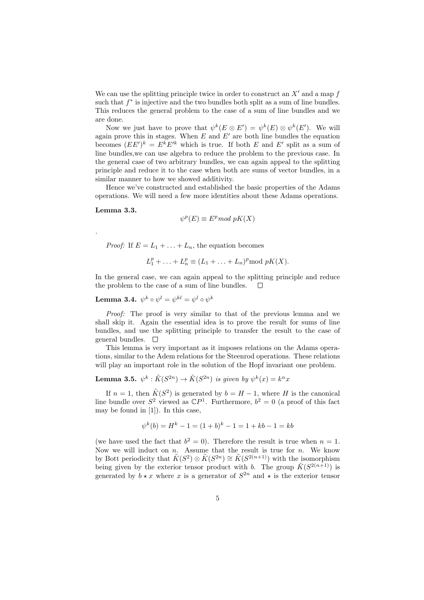We can use the splitting principle twice in order to construct an  $X'$  and a map f such that  $f^*$  is injective and the two bundles both split as a sum of line bundles. This reduces the general problem to the case of a sum of line bundles and we are done.

Now we just have to prove that  $\psi^k(E \otimes E') = \psi^k(E) \otimes \psi^k(E')$ . We will again prove this in stages. When  $E$  and  $E'$  are both line bundles the equation becomes  $(EE')^k = E^k E'^k$  which is true. If both E and E' split as a sum of line bundles,we can use algebra to reduce the problem to the previous case. In the general case of two arbitrary bundles, we can again appeal to the splitting principle and reduce it to the case when both are sums of vector bundles, in a similar manner to how we showed additivity.

Hence we've constructed and established the basic properties of the Adams operations. We will need a few more identities about these Adams operations.

#### Lemma 3.3.

.

$$
\psi^p(E) \equiv E^p \mod pK(X)
$$

*Proof:* If  $E = L_1 + ... + L_n$ , the equation becomes

$$
L_1^p + \ldots + L_n^p \equiv (L_1 + \ldots + L_n)^p \mod pK(X).
$$

In the general case, we can again appeal to the splitting principle and reduce the problem to the case of a sum of line bundles.  $\Box$ 

 ${\bf Lemma ~3.4.}~~\psi^{k}\circ\psi^{l}=\psi^{kl}=\psi^{l}\circ\psi^{k}$ 

Proof: The proof is very similar to that of the previous lemma and we shall skip it. Again the essential idea is to prove the result for sums of line bundles, and use the splitting principle to transfer the result to the case of general bundles.  $\square$ 

This lemma is very important as it imposes relations on the Adams operations, similar to the Adem relations for the Steenrod operations. These relations will play an important role in the solution of the Hopf invariant one problem.

**Lemma 3.5.**  $\psi^k : \tilde{K}(S^{2n}) \to \tilde{K}(S^{2n})$  is given by  $\psi^k(x) = k^n x$ 

If  $n = 1$ , then  $\tilde{K}(S^2)$  is generated by  $b = H - 1$ , where H is the canonical line bundle over  $S^2$  viewed as  $\mathbb{C}P^1$ . Furthermore,  $b^2 = 0$  (a proof of this fact may be found in [1]). In this case,

$$
\psi^k(b) = H^k - 1 = (1+b)^k - 1 = 1 + kb - 1 = kb
$$

(we have used the fact that  $b^2 = 0$ ). Therefore the result is true when  $n = 1$ . Now we will induct on  $n$ . Assume that the result is true for  $n$ . We know by Bott periodicity that  $\tilde{K}(S^2) \otimes \tilde{K}(S^{2n}) \cong \tilde{K}(S^{2(n+1)})$  with the isomorphism being given by the exterior tensor product with b. The group  $\tilde{K}(S^{2(n+1)})$  is generated by  $b \star x$  where x is a generator of  $S^{2n}$  and  $\star$  is the exterior tensor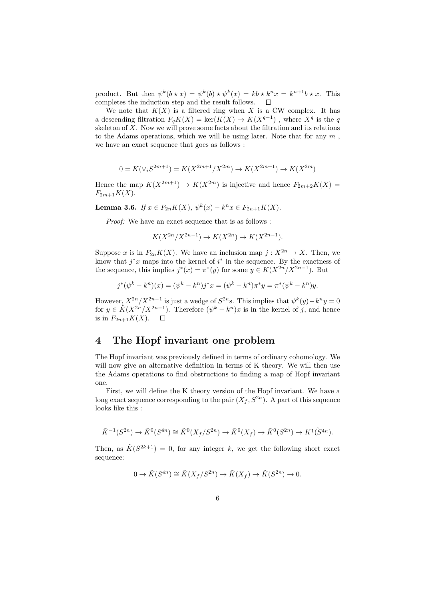product. But then  $\psi^k(b \star x) = \psi^k(b) \star \psi^k(x) = kb \star k^n x = k^{n+1}b \star x$ . This completes the induction step and the result follows.  $\Box$ 

We note that  $K(X)$  is a filtered ring when X is a CW complex. It has a descending filtration  $F_qK(X) = \ker(K(X) \to K(X^{q-1})$ , where  $X^q$  is the q skeleton of  $X$ . Now we will prove some facts about the filtration and its relations to the Adams operations, which we will be using later. Note that for any  $m$ , we have an exact sequence that goes as follows :

$$
0 = K(\vee_i S^{2m+1}) = K(X^{2m+1}/X^{2m}) \to K(X^{2m+1}) \to K(X^{2m})
$$

Hence the map  $K(X^{2m+1}) \to K(X^{2m})$  is injective and hence  $F_{2m+2}K(X) =$  $F_{2m+1}K(X)$ .

Lemma 3.6. If  $x \in F_{2n}K(X)$ ,  $\psi^k(x) - k^n x \in F_{2n+1}K(X)$ .

Proof: We have an exact sequence that is as follows :

$$
K(X^{2n}/X^{2n-1}) \to K(X^{2n}) \to K(X^{2n-1}).
$$

Suppose x is in  $F_{2n}K(X)$ . We have an inclusion map  $j: X^{2n} \to X$ . Then, we know that  $j^*x$  maps into the kernel of  $i^*$  in the sequence. By the exactness of the sequence, this implies  $j^*(x) = \pi^*(y)$  for some  $y \in K(X^{2n}/X^{2n-1})$ . But

$$
j^*(\psi^k - k^n)(x) = (\psi^k - k^n)j^*x = (\psi^k - k^n)\pi^*y = \pi^*(\psi^k - k^n)y.
$$

However,  $X^{2n}/X^{2n-1}$  is just a wedge of  $S^{2n}$ s. This implies that  $\psi^k(y) - k^n y = 0$ for  $y \in \tilde{K}(X^{2n}/X^{2n-1})$ . Therefore  $(\psi^k - k^n)x$  is in the kernel of j, and hence is in  $F_{2n+1}K(X)$ .  $\Box$ 

# 4 The Hopf invariant one problem

The Hopf invariant was previously defined in terms of ordinary cohomology. We will now give an alternative definition in terms of K theory. We will then use the Adams operations to find obstructions to finding a map of Hopf invariant one.

First, we will define the K theory version of the Hopf invariant. We have a long exact sequence corresponding to the pair  $(X_f, S^{2n})$ . A part of this sequence looks like this :

$$
\tilde{K}^{-1}(S^{2n}) \to \tilde{K}^0(S^{4n}) \cong \tilde{K}^0(X_f/S^{2n}) \to \tilde{K}^0(X_f) \to \tilde{K}^0(S^{2n}) \to K^1(\tilde{S}^{4n}).
$$

Then, as  $\tilde{K}(S^{2k+1}) = 0$ , for any integer k, we get the following short exact sequence:

$$
0 \to \tilde{K}(S^{4n}) \cong \tilde{K}(X_f/S^{2n}) \to \tilde{K}(X_f) \to \tilde{K}(S^{2n}) \to 0.
$$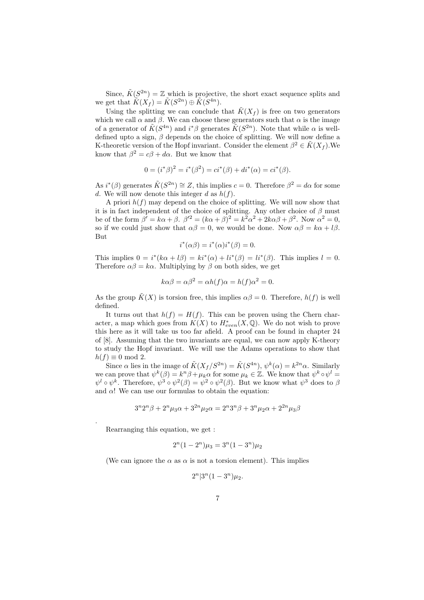Since,  $\tilde{K}(S^{2n}) = \mathbb{Z}$  which is projective, the short exact sequence splits and we get that  $\widetilde{K}(X_f) = \widetilde{K}(S^{2n}) \oplus \widetilde{K}(S^{4n}).$ 

Using the splitting we can conclude that  $\tilde{K}(X_f)$  is free on two generators which we call  $\alpha$  and  $\beta$ . We can choose these generators such that  $\alpha$  is the image of a generator of  $\tilde{K}(S^{4n})$  and  $i^*\beta$  generates  $\tilde{K}(S^{2n})$ . Note that while  $\alpha$  is welldefined upto a sign,  $\beta$  depends on the choice of splitting. We will now define a K-theoretic version of the Hopf invariant. Consider the element  $\beta^2 \in \tilde{K}(X_f)$ . We know that  $\beta^2 = c\beta + d\alpha$ . But we know that

$$
0 = (i^*\beta)^2 = i^*(\beta^2) = ci^*(\beta) + di^*(\alpha) = ci^*(\beta).
$$

As  $i^*(\beta)$  generates  $\tilde{K}(S^{2n}) \cong Z$ , this implies  $c = 0$ . Therefore  $\beta^2 = d\alpha$  for some d. We will now denote this integer d as  $h(f)$ .

A priori  $h(f)$  may depend on the choice of splitting. We will now show that it is in fact independent of the choice of splitting. Any other choice of  $\beta$  must be of the form  $\beta' = k\alpha + \beta$ .  $\beta'^2 = (k\alpha + \beta)^2 = k^2\alpha^2 + 2k\alpha\beta + \beta^2$ . Now  $\alpha^2 = 0$ , so if we could just show that  $\alpha\beta = 0$ , we would be done. Now  $\alpha\beta = k\alpha + l\beta$ . But

$$
i^*(\alpha \beta) = i^*(\alpha)i^*(\beta) = 0.
$$

This implies  $0 = i^*(k\alpha + l\beta) = ki^*(\alpha) + li^*(\beta) = li^*(\beta)$ . This implies  $l = 0$ . Therefore  $\alpha\beta = k\alpha$ . Multiplying by  $\beta$  on both sides, we get

$$
k\alpha\beta = \alpha\beta^2 = \alpha h(f)\alpha = h(f)\alpha^2 = 0.
$$

As the group  $\tilde{K}(X)$  is torsion free, this implies  $\alpha\beta = 0$ . Therefore,  $h(f)$  is well defined.

It turns out that  $h(f) = H(f)$ . This can be proven using the Chern character, a map which goes from  $K(X)$  to  $H^*_{even}(X,\mathbb{Q})$ . We do not wish to prove this here as it will take us too far afield. A proof can be found in chapter 24 of [8]. Assuming that the two invariants are equal, we can now apply K-theory to study the Hopf invariant. We will use the Adams operations to show that  $h(f) \equiv 0 \mod 2$ .

Since  $\alpha$  lies in the image of  $\tilde{K}(X_f/S^{2n}) = \tilde{K}(S^{4n}), \psi^k(\alpha) = k^{2n}\alpha$ . Similarly we can prove that  $\psi^k(\beta) = k^n \beta + \mu_k \alpha$  for some  $\mu_k \in \mathbb{Z}$ . We know that  $\psi^k \circ \psi^l =$  $\psi^l \circ \psi^k$ . Therefore,  $\psi^3 \circ \psi^2(\beta) = \psi^2 \circ \psi^2(\beta)$ . But we know what  $\psi^3$  does to  $\beta$ and  $\alpha$ ! We can use our formulas to obtain the equation:

$$
3^{n}2^{n}\beta + 2^{n}\mu_{3}\alpha + 3^{2n}\mu_{2}\alpha = 2^{n}3^{n}\beta + 3^{n}\mu_{2}\alpha + 2^{2n}\mu_{3}\beta
$$

Rearranging this equation, we get :

.

$$
2^{n}(1-2^{n})\mu_3 = 3^{n}(1-3^{n})\mu_2
$$

(We can ignore the  $\alpha$  as  $\alpha$  is not a torsion element). This implies

$$
2^{n}|3^{n}(1-3^{n})\mu_{2}.
$$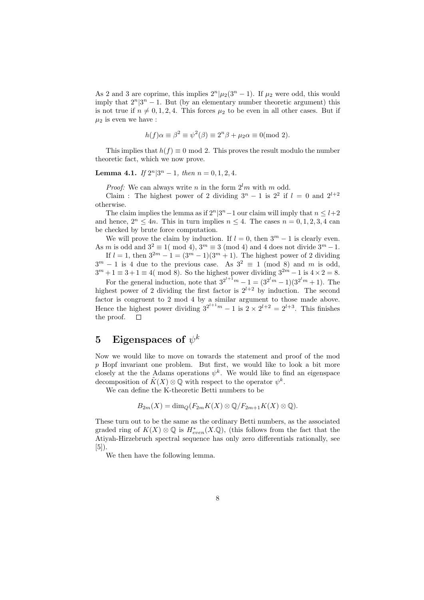As 2 and 3 are coprime, this implies  $2^{n}|\mu_2(3^{n}-1)$ . If  $\mu_2$  were odd, this would imply that  $2^n|3^n - 1$ . But (by an elementary number theoretic argument) this is not true if  $n \neq 0, 1, 2, 4$ . This forces  $\mu_2$  to be even in all other cases. But if  $\mu_2$  is even we have :

$$
h(f)\alpha \equiv \beta^2 \equiv \psi^2(\beta) \equiv 2^n \beta + \mu_2 \alpha \equiv 0 \pmod{2}.
$$

This implies that  $h(f) \equiv 0 \mod 2$ . This proves the result modulo the number theoretic fact, which we now prove.

### **Lemma 4.1.** If  $2^n|3^n - 1$ , then  $n = 0, 1, 2, 4$ .

*Proof:* We can always write *n* in the form  $2^{l}m$  with *m* odd.

Claim : The highest power of 2 dividing  $3^n - 1$  is  $2^2$  if  $l = 0$  and  $2^{l+2}$ otherwise.

The claim implies the lemma as if  $2^n|3^n-1$  our claim will imply that  $n \leq l+2$ and hence,  $2^n \le 4n$ . This in turn implies  $n \le 4$ . The cases  $n = 0, 1, 2, 3, 4$  can be checked by brute force computation.

We will prove the claim by induction. If  $l = 0$ , then  $3^m - 1$  is clearly even. As m is odd and  $3^2 \equiv 1 \pmod{4}$ ,  $3^m \equiv 3 \pmod{4}$  and 4 does not divide  $3^m - 1$ .

If  $l = 1$ , then  $3^{2m} - 1 = (3^m - 1)(3^m + 1)$ . The highest power of 2 dividing  $3^m - 1$  is 4 due to the previous case. As  $3^2 \equiv 1 \pmod{8}$  and m is odd,  $3^m + 1 \equiv 3 + 1 \equiv 4 \pmod{8}$ . So the highest power dividing  $3^{2m} - 1$  is  $4 \times 2 = 8$ .

For the general induction, note that  $3^{2^{l+1}m} - 1 = (3^{2^l m} - 1)(3^{2^l m} + 1)$ . The highest power of 2 dividing the first factor is  $2^{l+2}$  by induction. The second factor is congruent to 2 mod 4 by a similar argument to those made above. Hence the highest power dividing  $3^{2^{l+1}m} - 1$  is  $2 \times 2^{l+2} = 2^{l+3}$ . This finishes the proof.  $\Box$ 

# ${\bf 5} \quad {\bf Eigenspaces\ of\ \psi^k}$

Now we would like to move on towards the statement and proof of the mod  $p$  Hopf invariant one problem. But first, we would like to look a bit more closely at the the Adams operations  $\psi^k$ . We would like to find an eigenspace decomposition of  $\tilde{K}(X) \otimes \overline{\mathbb{Q}}$  with respect to the operator  $\psi^k$ .

We can define the K-theoretic Betti numbers to be

$$
B_{2m}(X) = \dim_Q(F_{2m}K(X) \otimes \mathbb{Q}/F_{2m+1}K(X) \otimes \mathbb{Q}).
$$

These turn out to be the same as the ordinary Betti numbers, as the associated graded ring of  $K(X) \otimes \mathbb{Q}$  is  $H^*_{even}(X \mathbb{Q})$ , (this follows from the fact that the Atiyah-Hirzebruch spectral sequence has only zero differentials rationally, see [5]).

We then have the following lemma.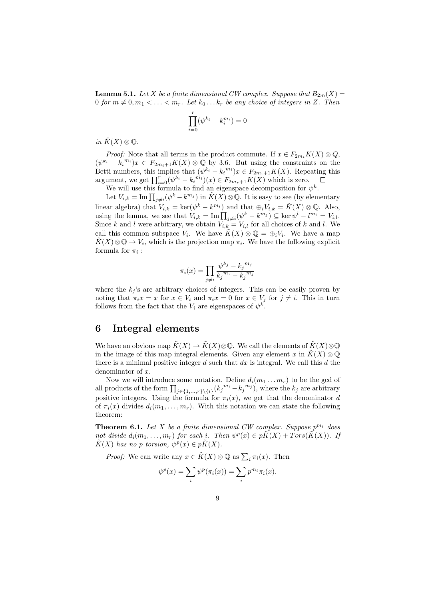**Lemma 5.1.** Let X be a finite dimensional CW complex. Suppose that  $B_{2m}(X) =$ 0 for  $m \neq 0, m_1 < \ldots < m_r$ . Let  $k_0 \ldots k_r$  be any choice of integers in Z. Then

$$
\prod_{i=0}^{r} (\psi^{k_i} - k_i^{m_i}) = 0
$$

in  $K(X) \otimes \mathbb{Q}$ .

*Proof:* Note that all terms in the product commute. If  $x \in F_{2m_i}K(X) \otimes Q$ ,  $(\psi^{k_i} - k_i^{m_i})x \in F_{2m_i+1}K(X) \otimes \mathbb{Q}$  by 3.6. But using the constraints on the Betti numbers, this implies that  $(\psi^{k_i} - k_i^{m_i})x \in F_{2m_i+1}K(X)$ . Repeating this argument, we get  $\prod_{i=0}^r (\psi^{k_i} - k_i^{m_i})(x) \in F_{2m_r+1}K(X)$  which is zero.

We will use this formula to find an eigenspace decomposition for  $\psi^k$ .

Let  $V_{i,k} = \text{Im}\prod_{j\neq i}(\psi^k - k^{m_j})$  in  $\tilde{K}(X) \otimes \mathbb{Q}$ . It is easy to see (by elementary linear algebra) that  $V_{i,k} = \ker(\psi^k - k^{m_i})$  and that  $\bigoplus_i V_{i,k} = \tilde{K}(X) \otimes \mathbb{Q}$ . Also, using the lemma, we see that  $V_{i,k} = \text{Im} \prod_{j \neq i} (\psi^k - k^{m_j}) \subseteq \ker \psi^l - l^{m_i} = V_{i,l}$ . Since k and l were arbitrary, we obtain  $V_{i,k} = V_{i,l}$  for all choices of k and l. We call this common subspace  $V_i$ . We have  $\tilde{K}(X) \otimes \mathbb{Q} = \bigoplus_i V_i$ . We have a map  $\tilde{K}(X) \otimes \mathbb{Q} \to V_i$ , which is the projection map  $\pi_i$ . We have the following explicit formula for  $\pi_i$ :

$$
\pi_i(x) = \prod_{j \neq i} \frac{\psi^{k_j} - k_j^{m_j}}{k_j^{m_i} - k_j^{m_j}}
$$

where the  $k_j$ 's are arbitrary choices of integers. This can be easily proven by noting that  $\pi_i x = x$  for  $x \in V_i$  and  $\pi_i x = 0$  for  $x \in V_j$  for  $j \neq i$ . This in turn follows from the fact that the  $V_i$  are eigenspaces of  $\psi^k$ .

## 6 Integral elements

We have an obvious map  $\tilde{K}(X) \to \tilde{K}(X) \otimes \mathbb{Q}$ . We call the elements of  $\tilde{K}(X) \otimes \mathbb{Q}$ in the image of this map integral elements. Given any element x in  $\tilde{K}(X) \otimes \mathbb{Q}$ there is a minimal positive integer  $d$  such that  $dx$  is integral. We call this  $d$  the denominator of  $x$ .

Now we will introduce some notation. Define  $d_i(m_1 \ldots m_r)$  to be the gcd of all products of the form  $\prod_{j\in\{1,\ldots,r\}\setminus\{i\}} (k_j^{m_i} - k_j^{m_j})$ , where the  $k_j$  are arbitrary positive integers. Using the formula for  $\pi_i(x)$ , we get that the denominator d of  $\pi_i(x)$  divides  $d_i(m_1, \ldots, m_r)$ . With this notation we can state the following theorem:

**Theorem 6.1.** Let X be a finite dimensional CW complex. Suppose  $p^{m_i}$  does not divide  $d_i(m_1,\ldots,m_r)$  for each i. Then  $\psi^p(x) \in p\tilde{K}(X) + Tors(\tilde{K}(X))$ . If  $\tilde{K}(X)$  has no p torsion,  $\psi^p(x) \in p\tilde{K}(X)$ .

*Proof:* We can write any  $x \in \tilde{K}(X) \otimes \mathbb{Q}$  as  $\sum_i \pi_i(x)$ . Then

$$
\psi^{p}(x) = \sum_{i} \psi^{p}(\pi_i(x)) = \sum_{i} p^{m_i} \pi_i(x).
$$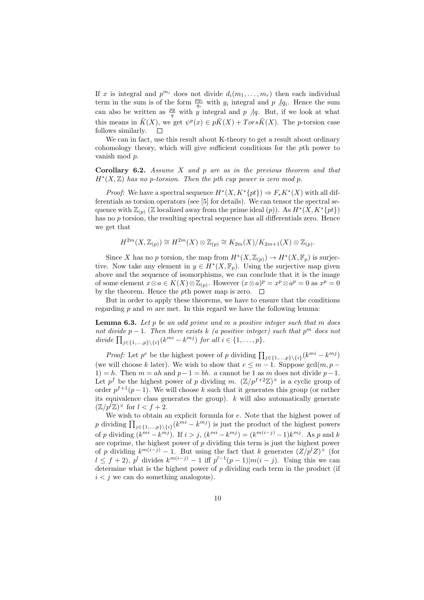If x is integral and  $p^{m_i}$  does not divide  $d_i(m_1, \ldots, m_r)$  then each individual term in the sum is of the form  $\frac{py_i}{q_i}$  with  $y_i$  integral and p  $/q_i$ . Hence the sum can also be written as  $\frac{py}{q}$  with y integral and p  $/q$ . But, if we look at what this means in  $\tilde{K}(X)$ , we get  $\psi^p(x) \in p\tilde{K}(X) + Tors\tilde{K}(X)$ . The p-torsion case follows similarly.  $\Box$ 

We can in fact, use this result about K-theory to get a result about ordinary cohomology theory, which will give sufficient conditions for the pth power to vanish mod p.

**Corollary 6.2.** Assume  $X$  and  $p$  are as in the previous theorem and that  $H^*(X,\mathbb{Z})$  has no p-torsion. Then the pth cup power is zero mod p.

*Proof:* We have a spectral sequence  $H^*(X, K^*\{pt\}) \Rightarrow F_*K^*(X)$  with all differentials as torsion operators (see [5] for details). We can tensor the spectral sequence with  $\mathbb{Z}_{(p)}(\mathbb{Z})$  localized away from the prime ideal  $(p)$ ). As  $H^*(X, K^*\{pt\})$ has no p torsion, the resulting spectral sequence has all differentials zero. Hence we get that

$$
H^{2m}(X,\mathbb{Z}_{(p)}) \cong H^{2m}(X) \otimes \mathbb{Z}_{(p)} \cong K_{2m}(X)/K_{2m+1}(X) \otimes \mathbb{Z}_{(p)}.
$$

Since X has no p torsion, the map from  $H^*(X,\mathbb{Z}_{(p)}) \to H^*(X,\mathbb{F}_p)$  is surjective. Now take any element in  $y \in H^*(X, \mathbb{F}_p)$ . Using the surjective map given above and the sequence of isomorphisms, we can conclude that it is the image of some element  $x \otimes a \in K(X) \otimes \mathbb{Z}_{(p)}$ . However  $(x \otimes a)^p = x^p \otimes a^p = 0$  as  $x^p = 0$ by the theorem. Hence the pth power map is zero.  $\Box$ 

But in order to apply these theorems, we have to ensure that the conditions regarding  $p$  and  $m$  are met. In this regard we have the following lemma:

**Lemma 6.3.** Let p be an odd prime and m a positive integer such that m does not divide  $p-1$ . Then there exists k (a positive integer) such that  $p^m$  does not divide  $\prod_{j \in \{1, ..., p\} \backslash \{i\}} (k^{mi} - k^{mj})$  for all  $i \in \{1, ..., p\}$ .

*Proof:* Let  $p^e$  be the highest power of p dividing  $\prod_{j\in\{1,\dots,p\}\backslash\{i\}}(k^{mi}-k^{mj})$ (we will choose k later). We wish to show that  $e \leq m-1$ . Suppose gcd $(m, p -$ 1) = h. Then  $m = ah$  and  $p-1 = bh$ . a cannot be 1 as m does not divide  $p-1$ . Let  $p^f$  be the highest power of p dividing m.  $(\mathbb{Z}/p^{f+2}\mathbb{Z})^{\times}$  is a cyclic group of order  $p^{f+1}(p-1)$ . We will choose k such that it generates this group (or rather its equivalence class generates the group).  $k$  will also automatically generate  $(\mathbb{Z}/p^l\mathbb{Z})^{\times}$  for  $l < f+2$ .

We wish to obtain an explicit formula for  $e$ . Note that the highest power of p dividing  $\prod_{j\in\{1,\ldots,p\}\setminus\{i\}}(k^{mi}-k^{mj})$  is just the product of the highest powers of p dividing  $(k^{mi} - k^{mj})$ . If  $i > j$ ,  $(k^{mi} - k^{mj}) = (k^{m(i-j)} - 1)k^{mj}$ . As p and k are coprime, the highest power of  $p$  dividing this term is just the highest power of p dividing  $k^{m(i-j)} - 1$ . But using the fact that k generates  $(Z/p^l Z)^\times$  (for  $l \leq f+2$ ,  $p^{l}$  divides  $k^{m(i-j)}-1$  iff  $p^{l-1}(p-1)|m(i-j)$ . Using this we can determine what is the highest power of  $p$  dividing each term in the product (if  $i < j$  we can do something analogous).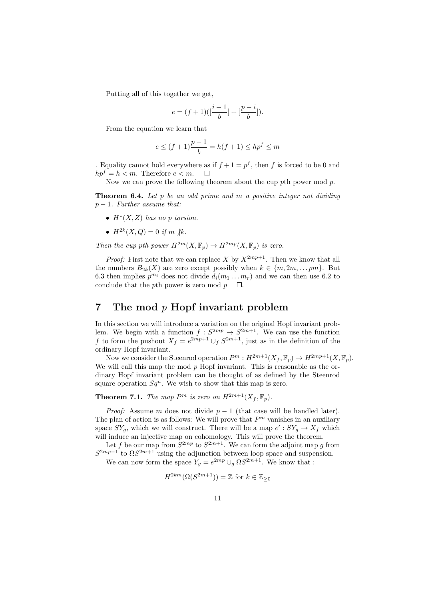Putting all of this together we get,

$$
e=(f+1)([\frac{i-1}{b}]+[\frac{p-i}{b}]).
$$

From the equation we learn that

$$
e \le (f+1)\frac{p-1}{b} = h(f+1) \le hp^f \le m
$$

. Equality cannot hold everywhere as if  $f + 1 = p^f$ , then f is forced to be 0 and  $hp^f = h < m$ . Therefore  $e < m$ .  $\Box$ 

Now we can prove the following theorem about the cup  $p$ <sup>th</sup> power mod  $p$ .

**Theorem 6.4.** Let  $p$  be an odd prime and  $m$  a positive integer not dividing  $p-1$ . Further assume that:

- $H^*(X, Z)$  has no p torsion.
- $H^{2k}(X,Q) = 0$  if m ||k.

Then the cup pth power  $H^{2m}(X,\mathbb{F}_p) \to H^{2mp}(X,\mathbb{F}_p)$  is zero.

*Proof:* First note that we can replace X by  $X^{2mp+1}$ . Then we know that all the numbers  $B_{2k}(X)$  are zero except possibly when  $k \in \{m, 2m, \ldots pm\}$ . But 6.3 then implies  $p^{m_i}$  does not divide  $d_i(m_1 \dots m_r)$  and we can then use 6.2 to conclude that the pth power is zero mod  $p \Box$ .

## 7 The mod p Hopf invariant problem

In this section we will introduce a variation on the original Hopf invariant problem. We begin with a function  $f : S^{2mp} \to S^{2m+1}$ . We can use the function f to form the pushout  $X_f = e^{2mp+1} \cup_f S^{2m+1}$ , just as in the definition of the ordinary Hopf invariant.

Now we consider the Steenrod operation  $P^m: H^{2m+1}(X_f, \mathbb{F}_p) \to H^{2mp+1}(X, \mathbb{F}_p)$ . We will call this map the mod  $p$  Hopf invariant. This is reasonable as the ordinary Hopf invariant problem can be thought of as defined by the Steenrod square operation  $Sq^n$ . We wish to show that this map is zero.

**Theorem 7.1.** The map  $P^m$  is zero on  $H^{2m+1}(X_f, \mathbb{F}_p)$ .

*Proof:* Assume m does not divide  $p - 1$  (that case will be handled later). The plan of action is as follows: We will prove that  $P<sup>m</sup>$  vanishes in an auxiliary space  $SY_g$ , which we will construct. There will be a map  $e' : SY_g \to X_f$  which will induce an injective map on cohomology. This will prove the theorem.

Let f be our map from  $S^{2mp}$  to  $S^{2m+1}$ . We can form the adjoint map g from  $S^{2mp-1}$  to  $\Omega S^{2m+1}$  using the adjunction between loop space and suspension.

We can now form the space  $Y_g = e^{2mp} \cup_g \Omega S^{2m+1}$ . We know that :

$$
H^{2km}(\Omega(S^{2m+1})) = \mathbb{Z} \text{ for } k \in \mathbb{Z}_{\geq 0}
$$